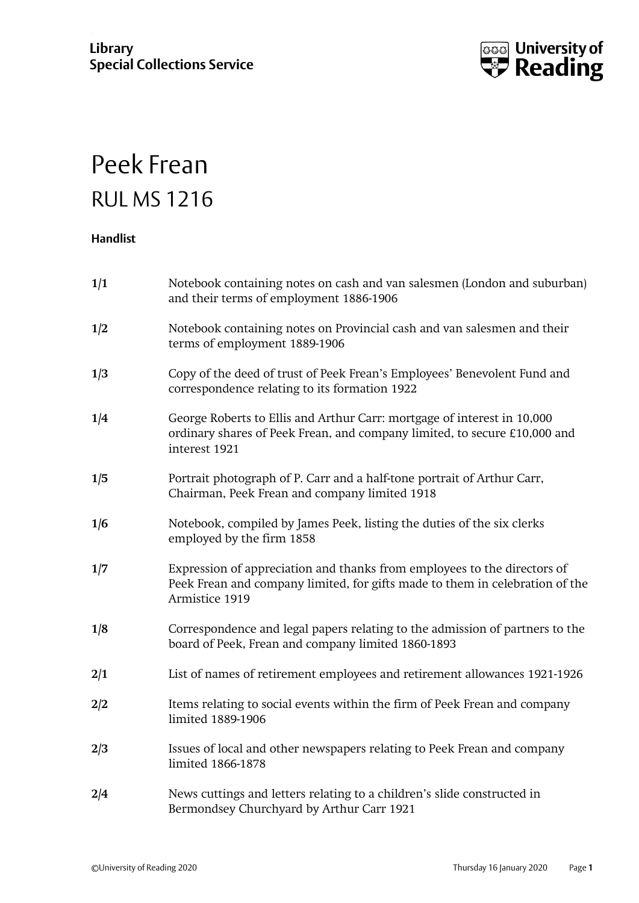

## Peek Frean RUL MS 1216

## **Handlist**

| 1/1 | Notebook containing notes on cash and van salesmen (London and suburban)<br>and their terms of employment 1886-1906                                                        |
|-----|----------------------------------------------------------------------------------------------------------------------------------------------------------------------------|
| 1/2 | Notebook containing notes on Provincial cash and van salesmen and their<br>terms of employment 1889-1906                                                                   |
| 1/3 | Copy of the deed of trust of Peek Frean's Employees' Benevolent Fund and<br>correspondence relating to its formation 1922                                                  |
| 1/4 | George Roberts to Ellis and Arthur Carr: mortgage of interest in 10,000<br>ordinary shares of Peek Frean, and company limited, to secure £10,000 and<br>interest 1921      |
| 1/5 | Portrait photograph of P. Carr and a half-tone portrait of Arthur Carr,<br>Chairman, Peek Frean and company limited 1918                                                   |
| 1/6 | Notebook, compiled by James Peek, listing the duties of the six clerks<br>employed by the firm 1858                                                                        |
| 1/7 | Expression of appreciation and thanks from employees to the directors of<br>Peek Frean and company limited, for gifts made to them in celebration of the<br>Armistice 1919 |
| 1/8 | Correspondence and legal papers relating to the admission of partners to the<br>board of Peek, Frean and company limited 1860-1893                                         |
| 2/1 | List of names of retirement employees and retirement allowances 1921-1926                                                                                                  |
| 2/2 | Items relating to social events within the firm of Peek Frean and company<br>limited 1889-1906                                                                             |
| 2/3 | Issues of local and other newspapers relating to Peek Frean and company<br>limited 1866-1878                                                                               |
| 2/4 | News cuttings and letters relating to a children's slide constructed in<br>Bermondsey Churchyard by Arthur Carr 1921                                                       |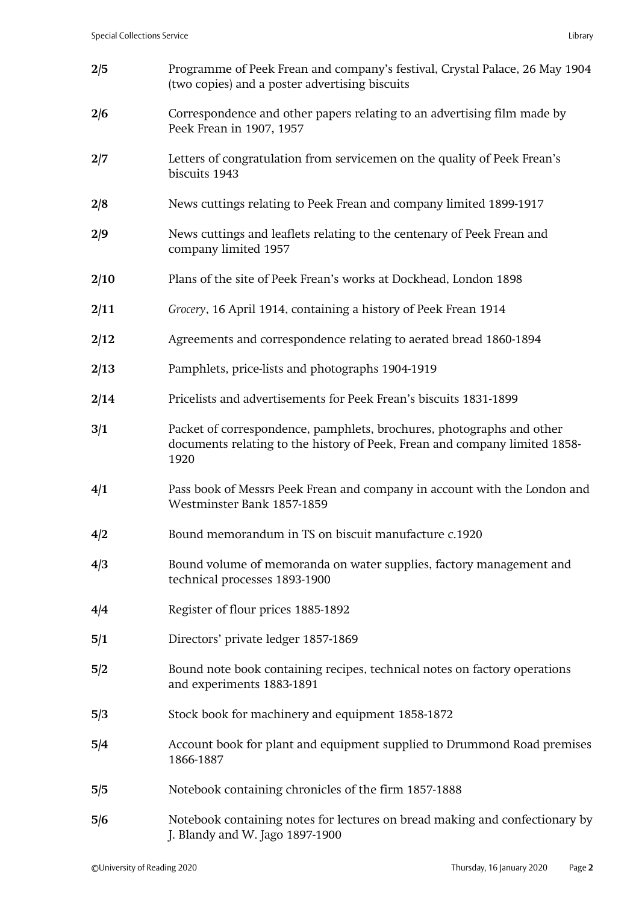| 2/5  | Programme of Peek Frean and company's festival, Crystal Palace, 26 May 1904<br>(two copies) and a poster advertising biscuits                               |
|------|-------------------------------------------------------------------------------------------------------------------------------------------------------------|
| 2/6  | Correspondence and other papers relating to an advertising film made by<br>Peek Frean in 1907, 1957                                                         |
| 2/7  | Letters of congratulation from servicemen on the quality of Peek Frean's<br>biscuits 1943                                                                   |
| 2/8  | News cuttings relating to Peek Frean and company limited 1899-1917                                                                                          |
| 2/9  | News cuttings and leaflets relating to the centenary of Peek Frean and<br>company limited 1957                                                              |
| 2/10 | Plans of the site of Peek Frean's works at Dockhead, London 1898                                                                                            |
| 2/11 | Grocery, 16 April 1914, containing a history of Peek Frean 1914                                                                                             |
| 2/12 | Agreements and correspondence relating to aerated bread 1860-1894                                                                                           |
| 2/13 | Pamphlets, price-lists and photographs 1904-1919                                                                                                            |
| 2/14 | Pricelists and advertisements for Peek Frean's biscuits 1831-1899                                                                                           |
| 3/1  | Packet of correspondence, pamphlets, brochures, photographs and other<br>documents relating to the history of Peek, Frean and company limited 1858-<br>1920 |
| 4/1  | Pass book of Messrs Peek Frean and company in account with the London and<br>Westminster Bank 1857-1859                                                     |
| 4/2  | Bound memorandum in TS on biscuit manufacture c.1920                                                                                                        |
| 4/3  | Bound volume of memoranda on water supplies, factory management and<br>technical processes 1893-1900                                                        |
| 4/4  | Register of flour prices 1885-1892                                                                                                                          |
| 5/1  | Directors' private ledger 1857-1869                                                                                                                         |
| 5/2  | Bound note book containing recipes, technical notes on factory operations<br>and experiments 1883-1891                                                      |
| 5/3  | Stock book for machinery and equipment 1858-1872                                                                                                            |
| 5/4  | Account book for plant and equipment supplied to Drummond Road premises<br>1866-1887                                                                        |
| 5/5  | Notebook containing chronicles of the firm 1857-1888                                                                                                        |
| 5/6  | Notebook containing notes for lectures on bread making and confectionary by<br>J. Blandy and W. Jago 1897-1900                                              |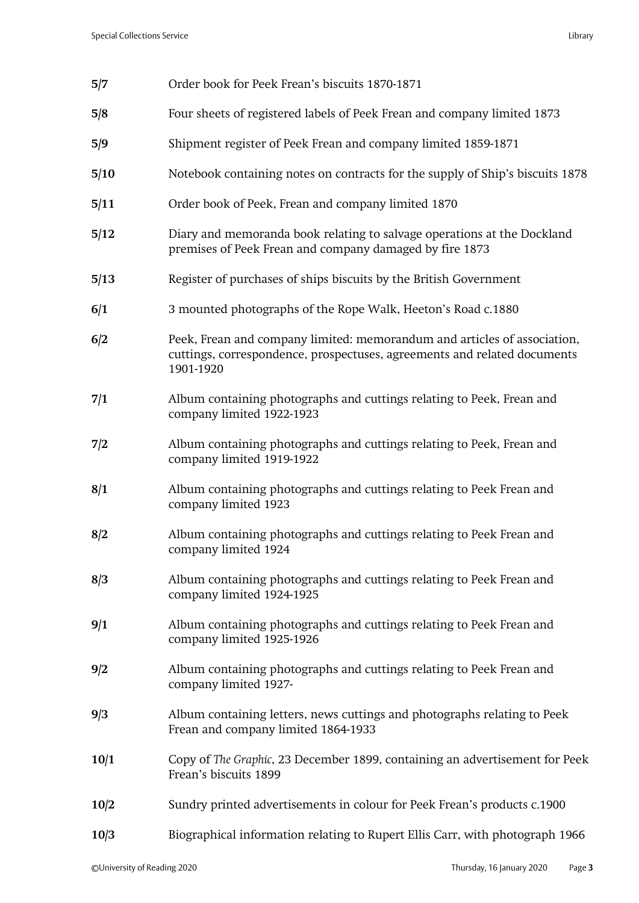| 5/7  | Order book for Peek Frean's biscuits 1870-1871                                                                                                                    |
|------|-------------------------------------------------------------------------------------------------------------------------------------------------------------------|
| 5/8  | Four sheets of registered labels of Peek Frean and company limited 1873                                                                                           |
| 5/9  | Shipment register of Peek Frean and company limited 1859-1871                                                                                                     |
| 5/10 | Notebook containing notes on contracts for the supply of Ship's biscuits 1878                                                                                     |
| 5/11 | Order book of Peek, Frean and company limited 1870                                                                                                                |
| 5/12 | Diary and memoranda book relating to salvage operations at the Dockland<br>premises of Peek Frean and company damaged by fire 1873                                |
| 5/13 | Register of purchases of ships biscuits by the British Government                                                                                                 |
| 6/1  | 3 mounted photographs of the Rope Walk, Heeton's Road c.1880                                                                                                      |
| 6/2  | Peek, Frean and company limited: memorandum and articles of association,<br>cuttings, correspondence, prospectuses, agreements and related documents<br>1901-1920 |
| 7/1  | Album containing photographs and cuttings relating to Peek, Frean and<br>company limited 1922-1923                                                                |
| 7/2  | Album containing photographs and cuttings relating to Peek, Frean and<br>company limited 1919-1922                                                                |
| 8/1  | Album containing photographs and cuttings relating to Peek Frean and<br>company limited 1923                                                                      |
| 8/2  | Album containing photographs and cuttings relating to Peek Frean and<br>company limited 1924                                                                      |
| 8/3  | Album containing photographs and cuttings relating to Peek Frean and<br>company limited 1924-1925                                                                 |
| 9/1  | Album containing photographs and cuttings relating to Peek Frean and<br>company limited 1925-1926                                                                 |
| 9/2  | Album containing photographs and cuttings relating to Peek Frean and<br>company limited 1927-                                                                     |
| 9/3  | Album containing letters, news cuttings and photographs relating to Peek<br>Frean and company limited 1864-1933                                                   |
| 10/1 | Copy of The Graphic, 23 December 1899, containing an advertisement for Peek<br>Frean's biscuits 1899                                                              |
| 10/2 | Sundry printed advertisements in colour for Peek Frean's products c.1900                                                                                          |
| 10/3 | Biographical information relating to Rupert Ellis Carr, with photograph 1966                                                                                      |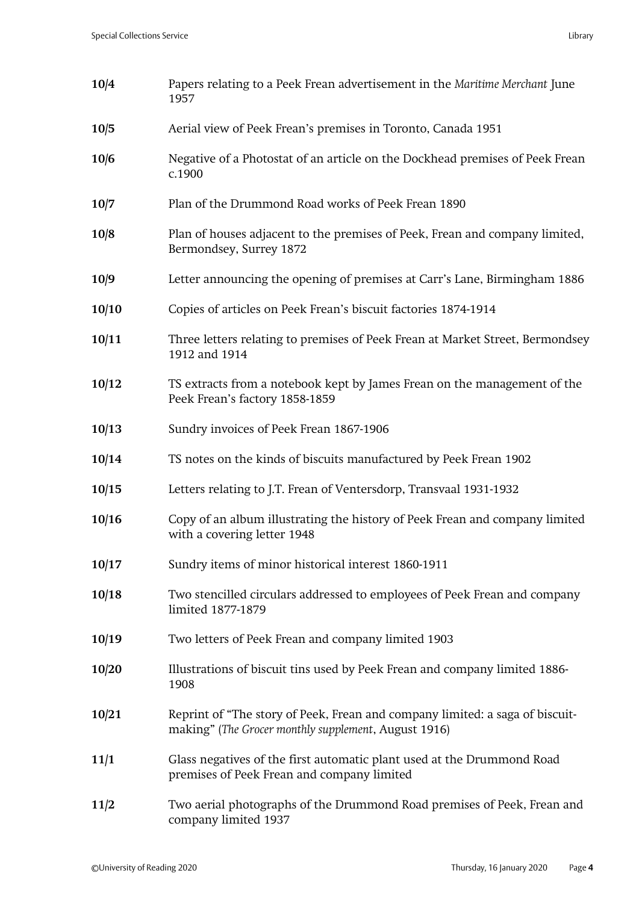| 10/4  | Papers relating to a Peek Frean advertisement in the Maritime Merchant June<br>1957                                                  |
|-------|--------------------------------------------------------------------------------------------------------------------------------------|
| 10/5  | Aerial view of Peek Frean's premises in Toronto, Canada 1951                                                                         |
| 10/6  | Negative of a Photostat of an article on the Dockhead premises of Peek Frean<br>c.1900                                               |
| 10/7  | Plan of the Drummond Road works of Peek Frean 1890                                                                                   |
| 10/8  | Plan of houses adjacent to the premises of Peek, Frean and company limited,<br>Bermondsey, Surrey 1872                               |
| 10/9  | Letter announcing the opening of premises at Carr's Lane, Birmingham 1886                                                            |
| 10/10 | Copies of articles on Peek Frean's biscuit factories 1874-1914                                                                       |
| 10/11 | Three letters relating to premises of Peek Frean at Market Street, Bermondsey<br>1912 and 1914                                       |
| 10/12 | TS extracts from a notebook kept by James Frean on the management of the<br>Peek Frean's factory 1858-1859                           |
| 10/13 | Sundry invoices of Peek Frean 1867-1906                                                                                              |
| 10/14 | TS notes on the kinds of biscuits manufactured by Peek Frean 1902                                                                    |
| 10/15 | Letters relating to J.T. Frean of Ventersdorp, Transvaal 1931-1932                                                                   |
| 10/16 | Copy of an album illustrating the history of Peek Frean and company limited<br>with a covering letter 1948                           |
| 10/17 | Sundry items of minor historical interest 1860-1911                                                                                  |
| 10/18 | Two stencilled circulars addressed to employees of Peek Frean and company<br>limited 1877-1879                                       |
| 10/19 | Two letters of Peek Frean and company limited 1903                                                                                   |
| 10/20 | Illustrations of biscuit tins used by Peek Frean and company limited 1886-<br>1908                                                   |
| 10/21 | Reprint of "The story of Peek, Frean and company limited: a saga of biscuit-<br>making" (The Grocer monthly supplement, August 1916) |
| 11/1  | Glass negatives of the first automatic plant used at the Drummond Road<br>premises of Peek Frean and company limited                 |
| 11/2  | Two aerial photographs of the Drummond Road premises of Peek, Frean and<br>company limited 1937                                      |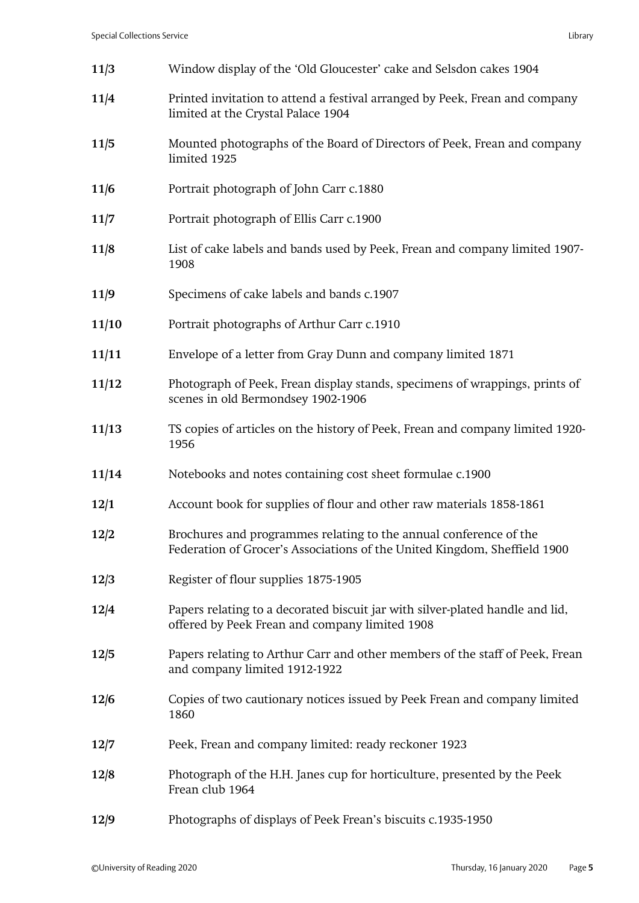| 11/3  | Window display of the 'Old Gloucester' cake and Selsdon cakes 1904                                                                             |
|-------|------------------------------------------------------------------------------------------------------------------------------------------------|
| 11/4  | Printed invitation to attend a festival arranged by Peek, Frean and company<br>limited at the Crystal Palace 1904                              |
| 11/5  | Mounted photographs of the Board of Directors of Peek, Frean and company<br>limited 1925                                                       |
| 11/6  | Portrait photograph of John Carr c.1880                                                                                                        |
| 11/7  | Portrait photograph of Ellis Carr c.1900                                                                                                       |
| 11/8  | List of cake labels and bands used by Peek, Frean and company limited 1907-<br>1908                                                            |
| 11/9  | Specimens of cake labels and bands c.1907                                                                                                      |
| 11/10 | Portrait photographs of Arthur Carr c.1910                                                                                                     |
| 11/11 | Envelope of a letter from Gray Dunn and company limited 1871                                                                                   |
| 11/12 | Photograph of Peek, Frean display stands, specimens of wrappings, prints of<br>scenes in old Bermondsey 1902-1906                              |
| 11/13 | TS copies of articles on the history of Peek, Frean and company limited 1920-<br>1956                                                          |
| 11/14 | Notebooks and notes containing cost sheet formulae c.1900                                                                                      |
| 12/1  | Account book for supplies of flour and other raw materials 1858-1861                                                                           |
| 12/2  | Brochures and programmes relating to the annual conference of the<br>Federation of Grocer's Associations of the United Kingdom, Sheffield 1900 |
| 12/3  | Register of flour supplies 1875-1905                                                                                                           |
| 12/4  | Papers relating to a decorated biscuit jar with silver-plated handle and lid,<br>offered by Peek Frean and company limited 1908                |
| 12/5  | Papers relating to Arthur Carr and other members of the staff of Peek, Frean<br>and company limited 1912-1922                                  |
| 12/6  | Copies of two cautionary notices issued by Peek Frean and company limited<br>1860                                                              |
| 12/7  | Peek, Frean and company limited: ready reckoner 1923                                                                                           |
| 12/8  | Photograph of the H.H. Janes cup for horticulture, presented by the Peek<br>Frean club 1964                                                    |
| 12/9  | Photographs of displays of Peek Frean's biscuits c.1935-1950                                                                                   |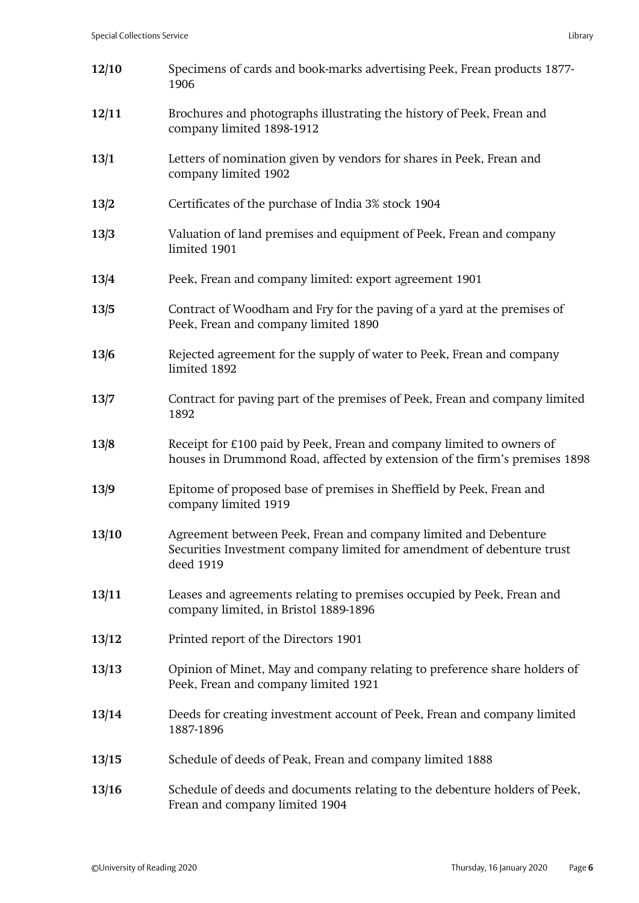| 12/10 | Specimens of cards and book-marks advertising Peek, Frean products 1877-<br>1906                                                                       |
|-------|--------------------------------------------------------------------------------------------------------------------------------------------------------|
| 12/11 | Brochures and photographs illustrating the history of Peek, Frean and<br>company limited 1898-1912                                                     |
| 13/1  | Letters of nomination given by vendors for shares in Peek, Frean and<br>company limited 1902                                                           |
| 13/2  | Certificates of the purchase of India 3% stock 1904                                                                                                    |
| 13/3  | Valuation of land premises and equipment of Peek, Frean and company<br>limited 1901                                                                    |
| 13/4  | Peek, Frean and company limited: export agreement 1901                                                                                                 |
| 13/5  | Contract of Woodham and Fry for the paving of a yard at the premises of<br>Peek, Frean and company limited 1890                                        |
| 13/6  | Rejected agreement for the supply of water to Peek, Frean and company<br>limited 1892                                                                  |
| 13/7  | Contract for paving part of the premises of Peek, Frean and company limited<br>1892                                                                    |
| 13/8  | Receipt for £100 paid by Peek, Frean and company limited to owners of<br>houses in Drummond Road, affected by extension of the firm's premises 1898    |
| 13/9  | Epitome of proposed base of premises in Sheffield by Peek, Frean and<br>company limited 1919                                                           |
| 13/10 | Agreement between Peek, Frean and company limited and Debenture<br>Securities Investment company limited for amendment of debenture trust<br>deed 1919 |
| 13/11 | Leases and agreements relating to premises occupied by Peek, Frean and<br>company limited, in Bristol 1889-1896                                        |
| 13/12 | Printed report of the Directors 1901                                                                                                                   |
| 13/13 | Opinion of Minet, May and company relating to preference share holders of<br>Peek, Frean and company limited 1921                                      |
| 13/14 | Deeds for creating investment account of Peek, Frean and company limited<br>1887-1896                                                                  |
| 13/15 | Schedule of deeds of Peak, Frean and company limited 1888                                                                                              |
| 13/16 | Schedule of deeds and documents relating to the debenture holders of Peek,<br>Frean and company limited 1904                                           |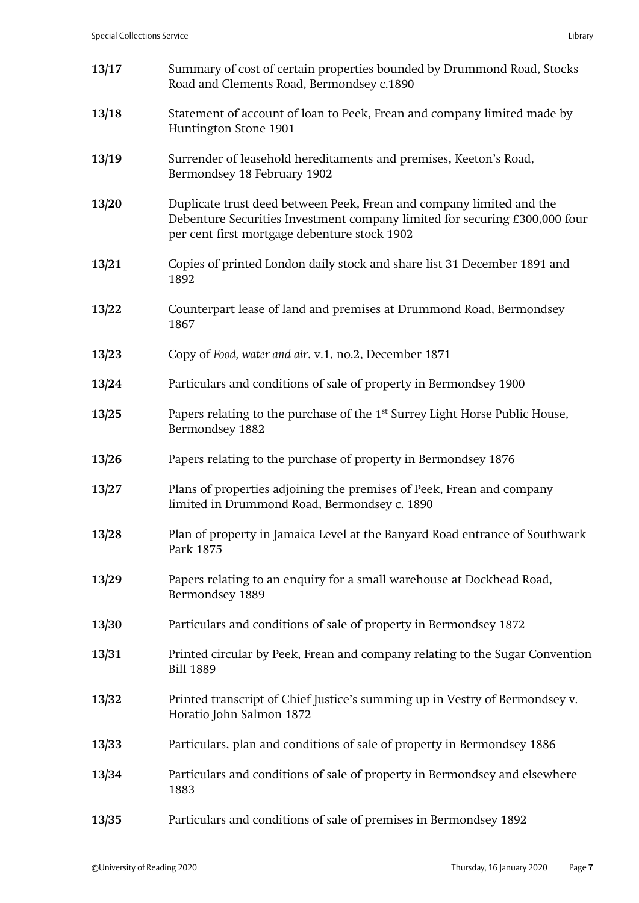| 13/17 | Summary of cost of certain properties bounded by Drummond Road, Stocks<br>Road and Clements Road, Bermondsey c.1890                                                                                |
|-------|----------------------------------------------------------------------------------------------------------------------------------------------------------------------------------------------------|
| 13/18 | Statement of account of loan to Peek, Frean and company limited made by<br>Huntington Stone 1901                                                                                                   |
| 13/19 | Surrender of leasehold hereditaments and premises, Keeton's Road,<br>Bermondsey 18 February 1902                                                                                                   |
| 13/20 | Duplicate trust deed between Peek, Frean and company limited and the<br>Debenture Securities Investment company limited for securing £300,000 four<br>per cent first mortgage debenture stock 1902 |
| 13/21 | Copies of printed London daily stock and share list 31 December 1891 and<br>1892                                                                                                                   |
| 13/22 | Counterpart lease of land and premises at Drummond Road, Bermondsey<br>1867                                                                                                                        |
| 13/23 | Copy of Food, water and air, v.1, no.2, December 1871                                                                                                                                              |
| 13/24 | Particulars and conditions of sale of property in Bermondsey 1900                                                                                                                                  |
| 13/25 | Papers relating to the purchase of the 1 <sup>st</sup> Surrey Light Horse Public House,<br>Bermondsey 1882                                                                                         |
| 13/26 | Papers relating to the purchase of property in Bermondsey 1876                                                                                                                                     |
| 13/27 | Plans of properties adjoining the premises of Peek, Frean and company<br>limited in Drummond Road, Bermondsey c. 1890                                                                              |
| 13/28 | Plan of property in Jamaica Level at the Banyard Road entrance of Southwark<br>Park 1875                                                                                                           |
| 13/29 | Papers relating to an enquiry for a small warehouse at Dockhead Road,<br>Bermondsey 1889                                                                                                           |
| 13/30 | Particulars and conditions of sale of property in Bermondsey 1872                                                                                                                                  |
| 13/31 | Printed circular by Peek, Frean and company relating to the Sugar Convention<br><b>Bill 1889</b>                                                                                                   |
| 13/32 | Printed transcript of Chief Justice's summing up in Vestry of Bermondsey v.<br>Horatio John Salmon 1872                                                                                            |
| 13/33 | Particulars, plan and conditions of sale of property in Bermondsey 1886                                                                                                                            |
| 13/34 | Particulars and conditions of sale of property in Bermondsey and elsewhere<br>1883                                                                                                                 |
| 13/35 | Particulars and conditions of sale of premises in Bermondsey 1892                                                                                                                                  |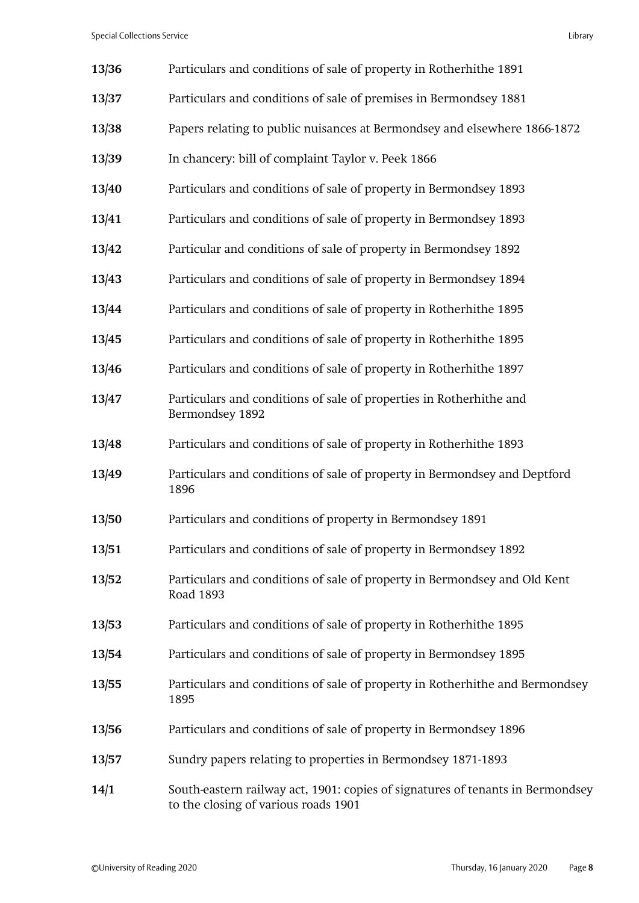| 13/36 | Particulars and conditions of sale of property in Rotherhithe 1891                                                     |
|-------|------------------------------------------------------------------------------------------------------------------------|
| 13/37 | Particulars and conditions of sale of premises in Bermondsey 1881                                                      |
| 13/38 | Papers relating to public nuisances at Bermondsey and elsewhere 1866-1872                                              |
| 13/39 | In chancery: bill of complaint Taylor v. Peek 1866                                                                     |
| 13/40 | Particulars and conditions of sale of property in Bermondsey 1893                                                      |
| 13/41 | Particulars and conditions of sale of property in Bermondsey 1893                                                      |
| 13/42 | Particular and conditions of sale of property in Bermondsey 1892                                                       |
| 13/43 | Particulars and conditions of sale of property in Bermondsey 1894                                                      |
| 13/44 | Particulars and conditions of sale of property in Rotherhithe 1895                                                     |
| 13/45 | Particulars and conditions of sale of property in Rotherhithe 1895                                                     |
| 13/46 | Particulars and conditions of sale of property in Rotherhithe 1897                                                     |
| 13/47 | Particulars and conditions of sale of properties in Rotherhithe and<br>Bermondsey 1892                                 |
| 13/48 | Particulars and conditions of sale of property in Rotherhithe 1893                                                     |
| 13/49 | Particulars and conditions of sale of property in Bermondsey and Deptford<br>1896                                      |
| 13/50 | Particulars and conditions of property in Bermondsey 1891                                                              |
| 13/51 | Particulars and conditions of sale of property in Bermondsey 1892                                                      |
| 13/52 | Particulars and conditions of sale of property in Bermondsey and Old Kent<br>Road 1893                                 |
| 13/53 | Particulars and conditions of sale of property in Rotherhithe 1895                                                     |
| 13/54 | Particulars and conditions of sale of property in Bermondsey 1895                                                      |
| 13/55 | Particulars and conditions of sale of property in Rotherhithe and Bermondsey<br>1895                                   |
| 13/56 | Particulars and conditions of sale of property in Bermondsey 1896                                                      |
| 13/57 | Sundry papers relating to properties in Bermondsey 1871-1893                                                           |
| 14/1  | South-eastern railway act, 1901: copies of signatures of tenants in Bermondsey<br>to the closing of various roads 1901 |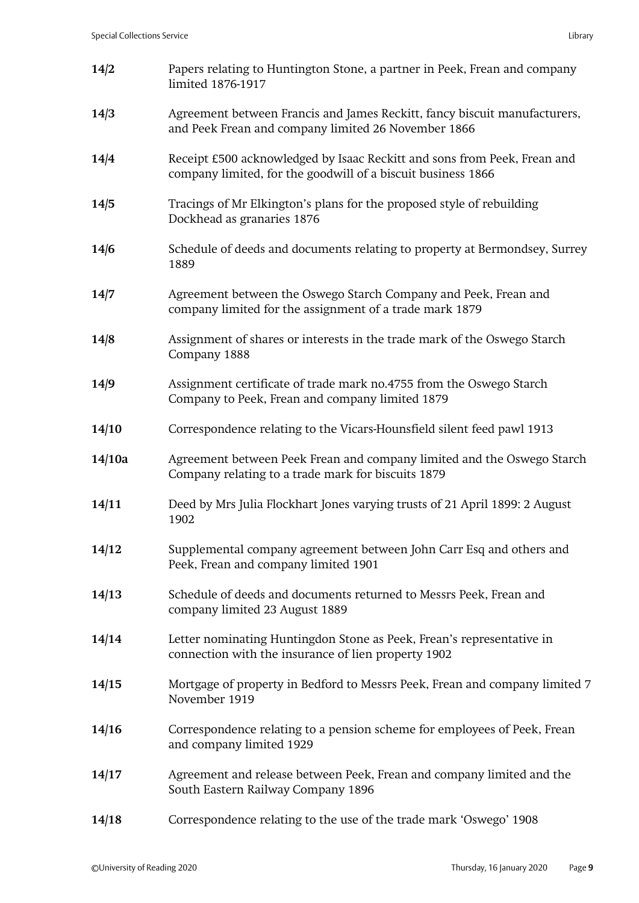| 14/2   | Papers relating to Huntington Stone, a partner in Peek, Frean and company<br>limited 1876-1917                                           |
|--------|------------------------------------------------------------------------------------------------------------------------------------------|
| 14/3   | Agreement between Francis and James Reckitt, fancy biscuit manufacturers,<br>and Peek Frean and company limited 26 November 1866         |
| 14/4   | Receipt £500 acknowledged by Isaac Reckitt and sons from Peek, Frean and<br>company limited, for the goodwill of a biscuit business 1866 |
| 14/5   | Tracings of Mr Elkington's plans for the proposed style of rebuilding<br>Dockhead as granaries 1876                                      |
| 14/6   | Schedule of deeds and documents relating to property at Bermondsey, Surrey<br>1889                                                       |
| 14/7   | Agreement between the Oswego Starch Company and Peek, Frean and<br>company limited for the assignment of a trade mark 1879               |
| 14/8   | Assignment of shares or interests in the trade mark of the Oswego Starch<br>Company 1888                                                 |
| 14/9   | Assignment certificate of trade mark no.4755 from the Oswego Starch<br>Company to Peek, Frean and company limited 1879                   |
| 14/10  | Correspondence relating to the Vicars-Hounsfield silent feed pawl 1913                                                                   |
| 14/10a | Agreement between Peek Frean and company limited and the Oswego Starch<br>Company relating to a trade mark for biscuits 1879             |
| 14/11  | Deed by Mrs Julia Flockhart Jones varying trusts of 21 April 1899: 2 August<br>1902                                                      |
| 14/12  | Supplemental company agreement between John Carr Esq and others and<br>Peek, Frean and company limited 1901                              |
| 14/13  | Schedule of deeds and documents returned to Messrs Peek, Frean and<br>company limited 23 August 1889                                     |
| 14/14  | Letter nominating Huntingdon Stone as Peek, Frean's representative in<br>connection with the insurance of lien property 1902             |
| 14/15  | Mortgage of property in Bedford to Messrs Peek, Frean and company limited 7<br>November 1919                                             |
| 14/16  | Correspondence relating to a pension scheme for employees of Peek, Frean<br>and company limited 1929                                     |
| 14/17  | Agreement and release between Peek, Frean and company limited and the<br>South Eastern Railway Company 1896                              |
| 14/18  | Correspondence relating to the use of the trade mark 'Oswego' 1908                                                                       |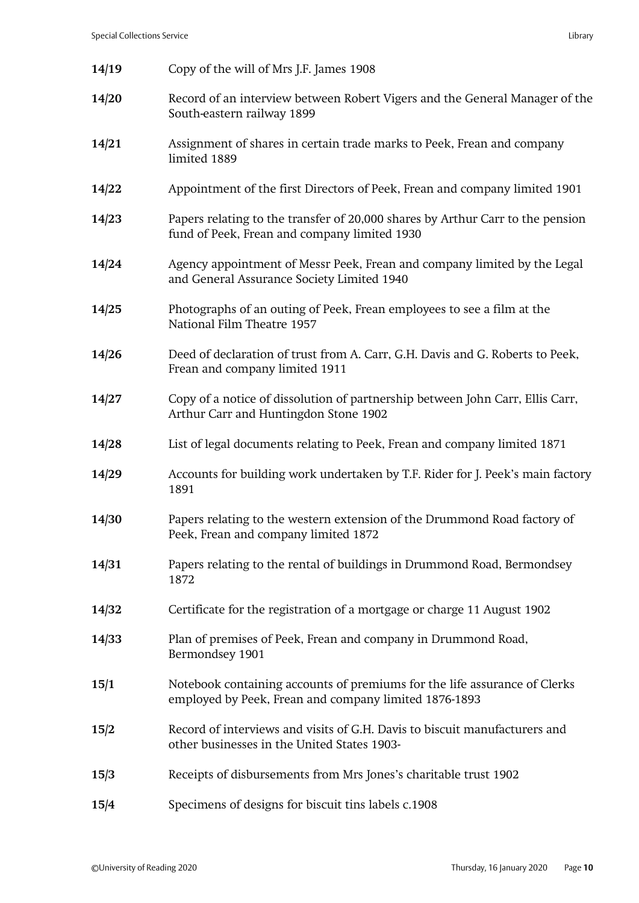| 14/19 | Copy of the will of Mrs J.F. James 1908                                                                                            |
|-------|------------------------------------------------------------------------------------------------------------------------------------|
| 14/20 | Record of an interview between Robert Vigers and the General Manager of the<br>South-eastern railway 1899                          |
| 14/21 | Assignment of shares in certain trade marks to Peek, Frean and company<br>limited 1889                                             |
| 14/22 | Appointment of the first Directors of Peek, Frean and company limited 1901                                                         |
| 14/23 | Papers relating to the transfer of 20,000 shares by Arthur Carr to the pension<br>fund of Peek, Frean and company limited 1930     |
| 14/24 | Agency appointment of Messr Peek, Frean and company limited by the Legal<br>and General Assurance Society Limited 1940             |
| 14/25 | Photographs of an outing of Peek, Frean employees to see a film at the<br>National Film Theatre 1957                               |
| 14/26 | Deed of declaration of trust from A. Carr, G.H. Davis and G. Roberts to Peek,<br>Frean and company limited 1911                    |
| 14/27 | Copy of a notice of dissolution of partnership between John Carr, Ellis Carr,<br>Arthur Carr and Huntingdon Stone 1902             |
| 14/28 | List of legal documents relating to Peek, Frean and company limited 1871                                                           |
| 14/29 | Accounts for building work undertaken by T.F. Rider for J. Peek's main factory<br>1891                                             |
| 14/30 | Papers relating to the western extension of the Drummond Road factory of<br>Peek, Frean and company limited 1872                   |
| 14/31 | Papers relating to the rental of buildings in Drummond Road, Bermondsey<br>1872                                                    |
| 14/32 | Certificate for the registration of a mortgage or charge 11 August 1902                                                            |
| 14/33 | Plan of premises of Peek, Frean and company in Drummond Road,<br>Bermondsey 1901                                                   |
| 15/1  | Notebook containing accounts of premiums for the life assurance of Clerks<br>employed by Peek, Frean and company limited 1876-1893 |
| 15/2  | Record of interviews and visits of G.H. Davis to biscuit manufacturers and<br>other businesses in the United States 1903-          |
| 15/3  | Receipts of disbursements from Mrs Jones's charitable trust 1902                                                                   |
| 15/4  | Specimens of designs for biscuit tins labels c.1908                                                                                |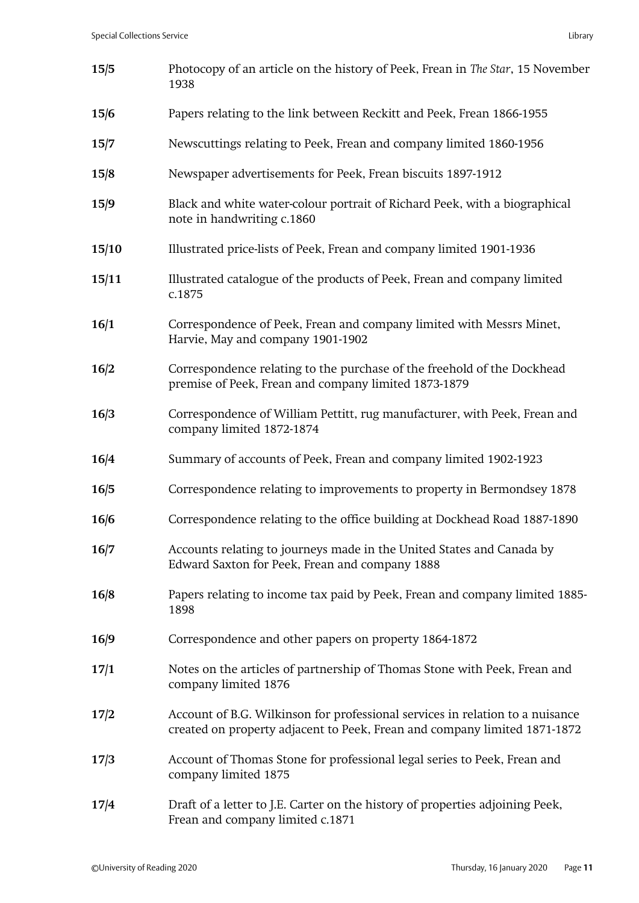| 15/5  | Photocopy of an article on the history of Peek, Frean in The Star, 15 November<br>1938                                                                     |
|-------|------------------------------------------------------------------------------------------------------------------------------------------------------------|
| 15/6  | Papers relating to the link between Reckitt and Peek, Frean 1866-1955                                                                                      |
| 15/7  | Newscuttings relating to Peek, Frean and company limited 1860-1956                                                                                         |
| 15/8  | Newspaper advertisements for Peek, Frean biscuits 1897-1912                                                                                                |
| 15/9  | Black and white water-colour portrait of Richard Peek, with a biographical<br>note in handwriting c.1860                                                   |
| 15/10 | Illustrated price-lists of Peek, Frean and company limited 1901-1936                                                                                       |
| 15/11 | Illustrated catalogue of the products of Peek, Frean and company limited<br>c.1875                                                                         |
| 16/1  | Correspondence of Peek, Frean and company limited with Messrs Minet,<br>Harvie, May and company 1901-1902                                                  |
| 16/2  | Correspondence relating to the purchase of the freehold of the Dockhead<br>premise of Peek, Frean and company limited 1873-1879                            |
| 16/3  | Correspondence of William Pettitt, rug manufacturer, with Peek, Frean and<br>company limited 1872-1874                                                     |
| 16/4  | Summary of accounts of Peek, Frean and company limited 1902-1923                                                                                           |
| 16/5  | Correspondence relating to improvements to property in Bermondsey 1878                                                                                     |
| 16/6  | Correspondence relating to the office building at Dockhead Road 1887-1890                                                                                  |
| 16/7  | Accounts relating to journeys made in the United States and Canada by<br>Edward Saxton for Peek, Frean and company 1888                                    |
| 16/8  | Papers relating to income tax paid by Peek, Frean and company limited 1885-<br>1898                                                                        |
| 16/9  | Correspondence and other papers on property 1864-1872                                                                                                      |
| 17/1  | Notes on the articles of partnership of Thomas Stone with Peek, Frean and<br>company limited 1876                                                          |
| 17/2  | Account of B.G. Wilkinson for professional services in relation to a nuisance<br>created on property adjacent to Peek, Frean and company limited 1871-1872 |
| 17/3  | Account of Thomas Stone for professional legal series to Peek, Frean and<br>company limited 1875                                                           |
| 17/4  | Draft of a letter to J.E. Carter on the history of properties adjoining Peek,<br>Frean and company limited c.1871                                          |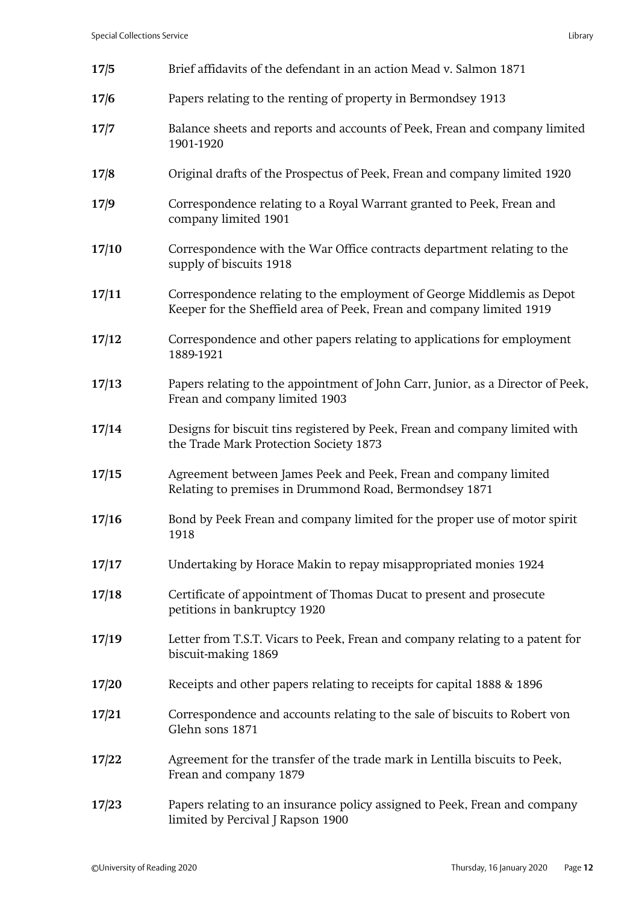| 17/5  | Brief affidavits of the defendant in an action Mead v. Salmon 1871                                                                              |
|-------|-------------------------------------------------------------------------------------------------------------------------------------------------|
| 17/6  | Papers relating to the renting of property in Bermondsey 1913                                                                                   |
| 17/7  | Balance sheets and reports and accounts of Peek, Frean and company limited<br>1901-1920                                                         |
| 17/8  | Original drafts of the Prospectus of Peek, Frean and company limited 1920                                                                       |
| 17/9  | Correspondence relating to a Royal Warrant granted to Peek, Frean and<br>company limited 1901                                                   |
| 17/10 | Correspondence with the War Office contracts department relating to the<br>supply of biscuits 1918                                              |
| 17/11 | Correspondence relating to the employment of George Middlemis as Depot<br>Keeper for the Sheffield area of Peek, Frean and company limited 1919 |
| 17/12 | Correspondence and other papers relating to applications for employment<br>1889-1921                                                            |
| 17/13 | Papers relating to the appointment of John Carr, Junior, as a Director of Peek,<br>Frean and company limited 1903                               |
| 17/14 | Designs for biscuit tins registered by Peek, Frean and company limited with<br>the Trade Mark Protection Society 1873                           |
| 17/15 | Agreement between James Peek and Peek, Frean and company limited<br>Relating to premises in Drummond Road, Bermondsey 1871                      |
| 17/16 | Bond by Peek Frean and company limited for the proper use of motor spirit<br>1918                                                               |
| 17/17 | Undertaking by Horace Makin to repay misappropriated monies 1924                                                                                |
| 17/18 | Certificate of appointment of Thomas Ducat to present and prosecute<br>petitions in bankruptcy 1920                                             |
| 17/19 | Letter from T.S.T. Vicars to Peek, Frean and company relating to a patent for<br>biscuit-making 1869                                            |
| 17/20 | Receipts and other papers relating to receipts for capital 1888 & 1896                                                                          |
| 17/21 | Correspondence and accounts relating to the sale of biscuits to Robert von<br>Glehn sons 1871                                                   |
| 17/22 | Agreement for the transfer of the trade mark in Lentilla biscuits to Peek,<br>Frean and company 1879                                            |
| 17/23 | Papers relating to an insurance policy assigned to Peek, Frean and company<br>limited by Percival J Rapson 1900                                 |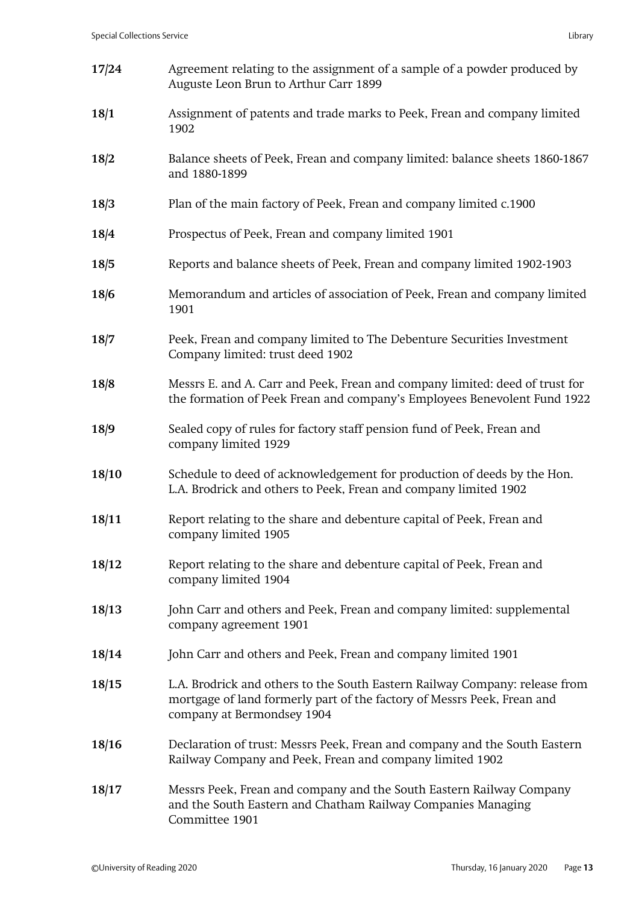| 17/24 | Agreement relating to the assignment of a sample of a powder produced by<br>Auguste Leon Brun to Arthur Carr 1899                                                                    |
|-------|--------------------------------------------------------------------------------------------------------------------------------------------------------------------------------------|
| 18/1  | Assignment of patents and trade marks to Peek, Frean and company limited<br>1902                                                                                                     |
| 18/2  | Balance sheets of Peek, Frean and company limited: balance sheets 1860-1867<br>and 1880-1899                                                                                         |
| 18/3  | Plan of the main factory of Peek, Frean and company limited c.1900                                                                                                                   |
| 18/4  | Prospectus of Peek, Frean and company limited 1901                                                                                                                                   |
| 18/5  | Reports and balance sheets of Peek, Frean and company limited 1902-1903                                                                                                              |
| 18/6  | Memorandum and articles of association of Peek, Frean and company limited<br>1901                                                                                                    |
| 18/7  | Peek, Frean and company limited to The Debenture Securities Investment<br>Company limited: trust deed 1902                                                                           |
| 18/8  | Messrs E. and A. Carr and Peek, Frean and company limited: deed of trust for<br>the formation of Peek Frean and company's Employees Benevolent Fund 1922                             |
| 18/9  | Sealed copy of rules for factory staff pension fund of Peek, Frean and<br>company limited 1929                                                                                       |
| 18/10 | Schedule to deed of acknowledgement for production of deeds by the Hon.<br>L.A. Brodrick and others to Peek, Frean and company limited 1902                                          |
| 18/11 | Report relating to the share and debenture capital of Peek, Frean and<br>company limited 1905                                                                                        |
| 18/12 | Report relating to the share and debenture capital of Peek, Frean and<br>company limited 1904                                                                                        |
| 18/13 | John Carr and others and Peek, Frean and company limited: supplemental<br>company agreement 1901                                                                                     |
| 18/14 | John Carr and others and Peek, Frean and company limited 1901                                                                                                                        |
| 18/15 | L.A. Brodrick and others to the South Eastern Railway Company: release from<br>mortgage of land formerly part of the factory of Messrs Peek, Frean and<br>company at Bermondsey 1904 |
| 18/16 | Declaration of trust: Messrs Peek, Frean and company and the South Eastern<br>Railway Company and Peek, Frean and company limited 1902                                               |
| 18/17 | Messrs Peek, Frean and company and the South Eastern Railway Company<br>and the South Eastern and Chatham Railway Companies Managing<br>Committee 1901                               |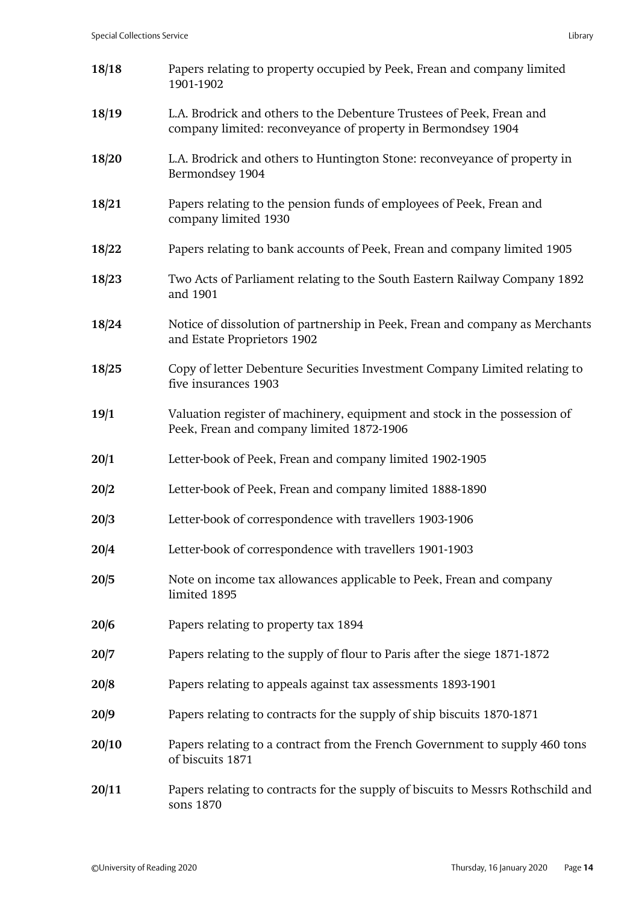| 18/18 | Papers relating to property occupied by Peek, Frean and company limited<br>1901-1902                                                  |
|-------|---------------------------------------------------------------------------------------------------------------------------------------|
| 18/19 | L.A. Brodrick and others to the Debenture Trustees of Peek, Frean and<br>company limited: reconveyance of property in Bermondsey 1904 |
| 18/20 | L.A. Brodrick and others to Huntington Stone: reconveyance of property in<br>Bermondsey 1904                                          |
| 18/21 | Papers relating to the pension funds of employees of Peek, Frean and<br>company limited 1930                                          |
| 18/22 | Papers relating to bank accounts of Peek, Frean and company limited 1905                                                              |
| 18/23 | Two Acts of Parliament relating to the South Eastern Railway Company 1892<br>and 1901                                                 |
| 18/24 | Notice of dissolution of partnership in Peek, Frean and company as Merchants<br>and Estate Proprietors 1902                           |
| 18/25 | Copy of letter Debenture Securities Investment Company Limited relating to<br>five insurances 1903                                    |
| 19/1  | Valuation register of machinery, equipment and stock in the possession of<br>Peek, Frean and company limited 1872-1906                |
| 20/1  | Letter-book of Peek, Frean and company limited 1902-1905                                                                              |
| 20/2  | Letter-book of Peek, Frean and company limited 1888-1890                                                                              |
| 20/3  | Letter-book of correspondence with travellers 1903-1906                                                                               |
| 20/4  | Letter-book of correspondence with travellers 1901-1903                                                                               |
| 20/5  | Note on income tax allowances applicable to Peek, Frean and company<br>limited 1895                                                   |
| 20/6  | Papers relating to property tax 1894                                                                                                  |
| 20/7  | Papers relating to the supply of flour to Paris after the siege 1871-1872                                                             |
| 20/8  | Papers relating to appeals against tax assessments 1893-1901                                                                          |
| 20/9  | Papers relating to contracts for the supply of ship biscuits 1870-1871                                                                |
| 20/10 | Papers relating to a contract from the French Government to supply 460 tons<br>of biscuits 1871                                       |
| 20/11 | Papers relating to contracts for the supply of biscuits to Messrs Rothschild and<br>sons 1870                                         |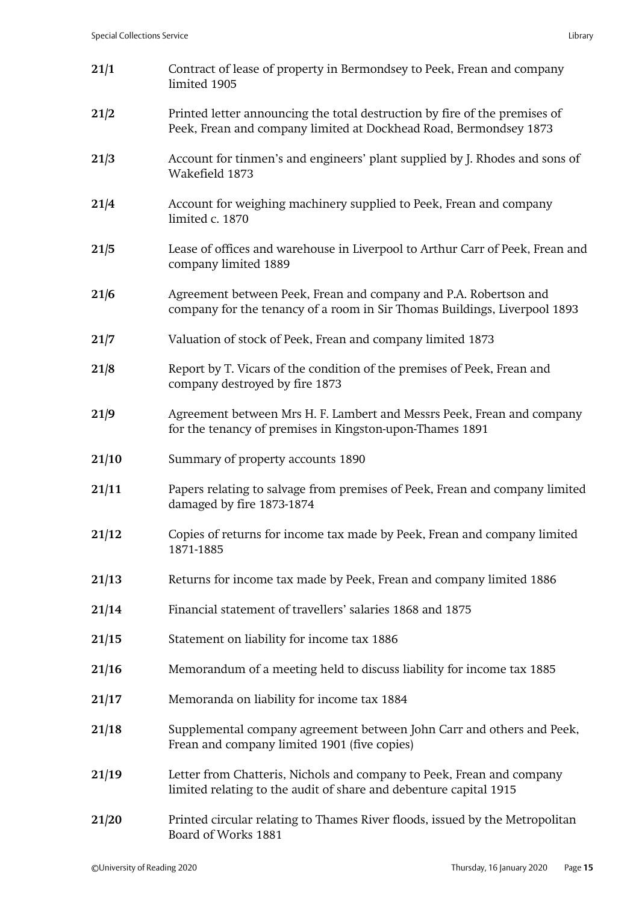| 21/1  | Contract of lease of property in Bermondsey to Peek, Frean and company<br>limited 1905                                                          |
|-------|-------------------------------------------------------------------------------------------------------------------------------------------------|
| 21/2  | Printed letter announcing the total destruction by fire of the premises of<br>Peek, Frean and company limited at Dockhead Road, Bermondsey 1873 |
| 21/3  | Account for tinmen's and engineers' plant supplied by J. Rhodes and sons of<br>Wakefield 1873                                                   |
| 21/4  | Account for weighing machinery supplied to Peek, Frean and company<br>limited c. 1870                                                           |
| 21/5  | Lease of offices and warehouse in Liverpool to Arthur Carr of Peek, Frean and<br>company limited 1889                                           |
| 21/6  | Agreement between Peek, Frean and company and P.A. Robertson and<br>company for the tenancy of a room in Sir Thomas Buildings, Liverpool 1893   |
| 21/7  | Valuation of stock of Peek, Frean and company limited 1873                                                                                      |
| 21/8  | Report by T. Vicars of the condition of the premises of Peek, Frean and<br>company destroyed by fire 1873                                       |
| 21/9  | Agreement between Mrs H. F. Lambert and Messrs Peek, Frean and company<br>for the tenancy of premises in Kingston-upon-Thames 1891              |
| 21/10 | Summary of property accounts 1890                                                                                                               |
| 21/11 | Papers relating to salvage from premises of Peek, Frean and company limited<br>damaged by fire 1873-1874                                        |
| 21/12 | Copies of returns for income tax made by Peek, Frean and company limited<br>1871-1885                                                           |
| 21/13 | Returns for income tax made by Peek, Frean and company limited 1886                                                                             |
| 21/14 | Financial statement of travellers' salaries 1868 and 1875                                                                                       |
| 21/15 | Statement on liability for income tax 1886                                                                                                      |
| 21/16 | Memorandum of a meeting held to discuss liability for income tax 1885                                                                           |
| 21/17 | Memoranda on liability for income tax 1884                                                                                                      |
| 21/18 | Supplemental company agreement between John Carr and others and Peek,<br>Frean and company limited 1901 (five copies)                           |
| 21/19 | Letter from Chatteris, Nichols and company to Peek, Frean and company<br>limited relating to the audit of share and debenture capital 1915      |
| 21/20 | Printed circular relating to Thames River floods, issued by the Metropolitan<br>Board of Works 1881                                             |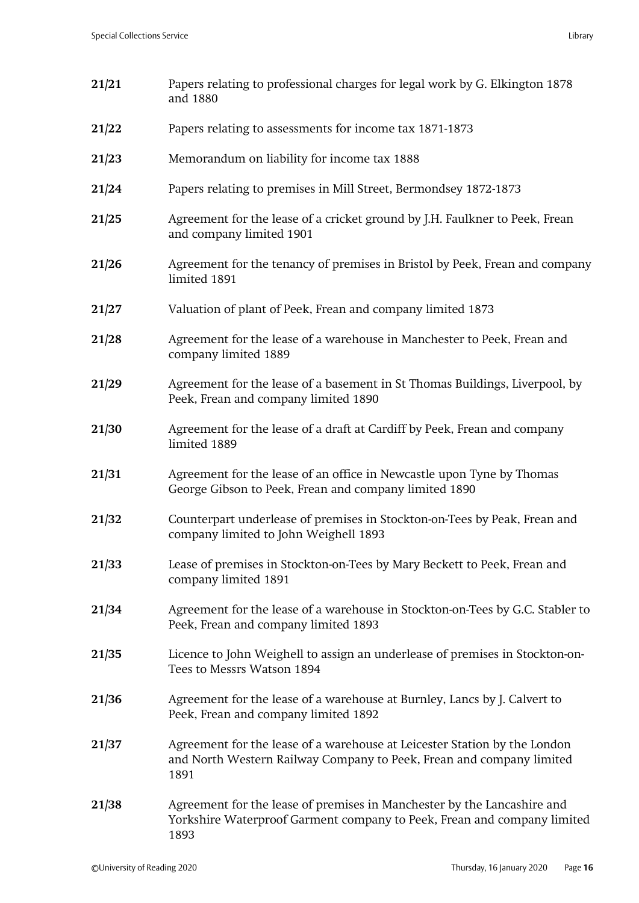| 21/21 | Papers relating to professional charges for legal work by G. Elkington 1878<br>and 1880                                                                    |
|-------|------------------------------------------------------------------------------------------------------------------------------------------------------------|
| 21/22 | Papers relating to assessments for income tax 1871-1873                                                                                                    |
| 21/23 | Memorandum on liability for income tax 1888                                                                                                                |
| 21/24 | Papers relating to premises in Mill Street, Bermondsey 1872-1873                                                                                           |
| 21/25 | Agreement for the lease of a cricket ground by J.H. Faulkner to Peek, Frean<br>and company limited 1901                                                    |
| 21/26 | Agreement for the tenancy of premises in Bristol by Peek, Frean and company<br>limited 1891                                                                |
| 21/27 | Valuation of plant of Peek, Frean and company limited 1873                                                                                                 |
| 21/28 | Agreement for the lease of a warehouse in Manchester to Peek, Frean and<br>company limited 1889                                                            |
| 21/29 | Agreement for the lease of a basement in St Thomas Buildings, Liverpool, by<br>Peek, Frean and company limited 1890                                        |
| 21/30 | Agreement for the lease of a draft at Cardiff by Peek, Frean and company<br>limited 1889                                                                   |
| 21/31 | Agreement for the lease of an office in Newcastle upon Tyne by Thomas<br>George Gibson to Peek, Frean and company limited 1890                             |
| 21/32 | Counterpart underlease of premises in Stockton-on-Tees by Peak, Frean and<br>company limited to John Weighell 1893                                         |
| 21/33 | Lease of premises in Stockton-on-Tees by Mary Beckett to Peek, Frean and<br>company limited 1891                                                           |
| 21/34 | Agreement for the lease of a warehouse in Stockton-on-Tees by G.C. Stabler to<br>Peek, Frean and company limited 1893                                      |
| 21/35 | Licence to John Weighell to assign an underlease of premises in Stockton-on-<br>Tees to Messrs Watson 1894                                                 |
| 21/36 | Agreement for the lease of a warehouse at Burnley, Lancs by J. Calvert to<br>Peek, Frean and company limited 1892                                          |
| 21/37 | Agreement for the lease of a warehouse at Leicester Station by the London<br>and North Western Railway Company to Peek, Frean and company limited<br>1891  |
| 21/38 | Agreement for the lease of premises in Manchester by the Lancashire and<br>Yorkshire Waterproof Garment company to Peek, Frean and company limited<br>1893 |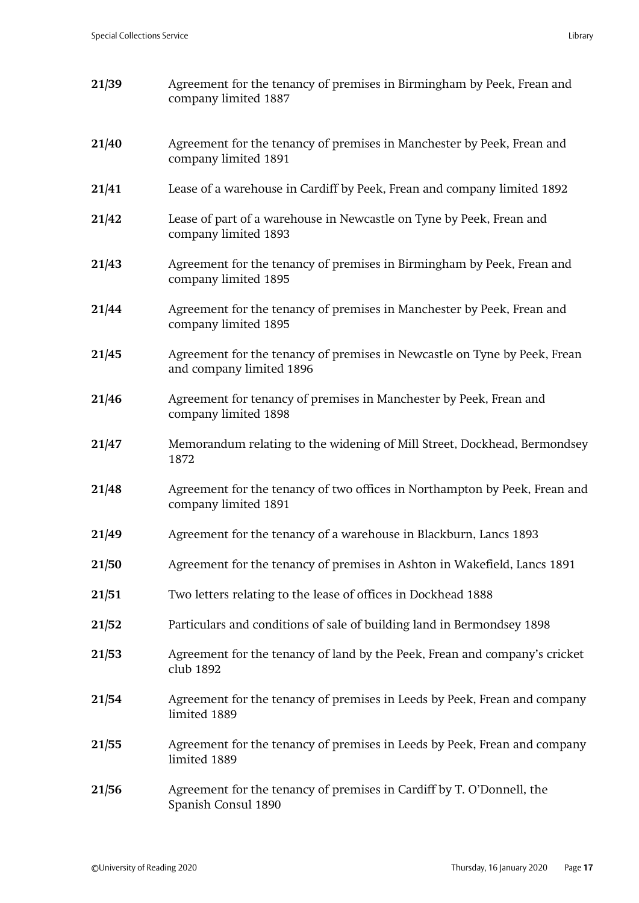| 21/39 | Agreement for the tenancy of premises in Birmingham by Peek, Frean and<br>company limited 1887        |
|-------|-------------------------------------------------------------------------------------------------------|
| 21/40 | Agreement for the tenancy of premises in Manchester by Peek, Frean and<br>company limited 1891        |
| 21/41 | Lease of a warehouse in Cardiff by Peek, Frean and company limited 1892                               |
| 21/42 | Lease of part of a warehouse in Newcastle on Tyne by Peek, Frean and<br>company limited 1893          |
| 21/43 | Agreement for the tenancy of premises in Birmingham by Peek, Frean and<br>company limited 1895        |
| 21/44 | Agreement for the tenancy of premises in Manchester by Peek, Frean and<br>company limited 1895        |
| 21/45 | Agreement for the tenancy of premises in Newcastle on Tyne by Peek, Frean<br>and company limited 1896 |
| 21/46 | Agreement for tenancy of premises in Manchester by Peek, Frean and<br>company limited 1898            |
| 21/47 | Memorandum relating to the widening of Mill Street, Dockhead, Bermondsey<br>1872                      |
| 21/48 | Agreement for the tenancy of two offices in Northampton by Peek, Frean and<br>company limited 1891    |
| 21/49 | Agreement for the tenancy of a warehouse in Blackburn, Lancs 1893                                     |
| 21/50 | Agreement for the tenancy of premises in Ashton in Wakefield, Lancs 1891                              |
| 21/51 | Two letters relating to the lease of offices in Dockhead 1888                                         |
| 21/52 | Particulars and conditions of sale of building land in Bermondsey 1898                                |
| 21/53 | Agreement for the tenancy of land by the Peek, Frean and company's cricket<br>club 1892               |
| 21/54 | Agreement for the tenancy of premises in Leeds by Peek, Frean and company<br>limited 1889             |
| 21/55 | Agreement for the tenancy of premises in Leeds by Peek, Frean and company<br>limited 1889             |
| 21/56 | Agreement for the tenancy of premises in Cardiff by T. O'Donnell, the<br>Spanish Consul 1890          |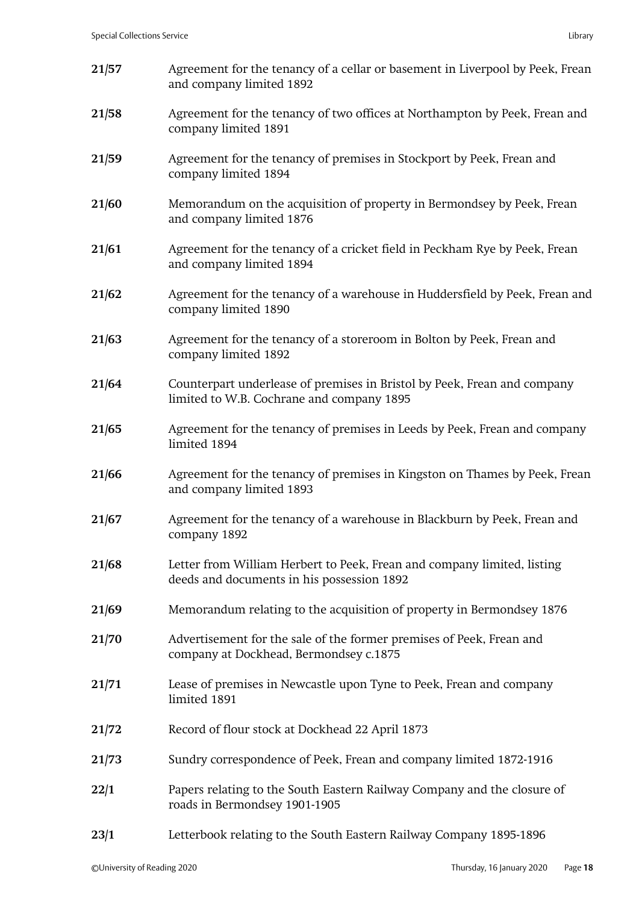| 21/57 | Agreement for the tenancy of a cellar or basement in Liverpool by Peek, Frean<br>and company limited 1892             |
|-------|-----------------------------------------------------------------------------------------------------------------------|
| 21/58 | Agreement for the tenancy of two offices at Northampton by Peek, Frean and<br>company limited 1891                    |
| 21/59 | Agreement for the tenancy of premises in Stockport by Peek, Frean and<br>company limited 1894                         |
| 21/60 | Memorandum on the acquisition of property in Bermondsey by Peek, Frean<br>and company limited 1876                    |
| 21/61 | Agreement for the tenancy of a cricket field in Peckham Rye by Peek, Frean<br>and company limited 1894                |
| 21/62 | Agreement for the tenancy of a warehouse in Huddersfield by Peek, Frean and<br>company limited 1890                   |
| 21/63 | Agreement for the tenancy of a storeroom in Bolton by Peek, Frean and<br>company limited 1892                         |
| 21/64 | Counterpart underlease of premises in Bristol by Peek, Frean and company<br>limited to W.B. Cochrane and company 1895 |
| 21/65 | Agreement for the tenancy of premises in Leeds by Peek, Frean and company<br>limited 1894                             |
| 21/66 | Agreement for the tenancy of premises in Kingston on Thames by Peek, Frean<br>and company limited 1893                |
| 21/67 | Agreement for the tenancy of a warehouse in Blackburn by Peek, Frean and<br>company 1892                              |
| 21/68 | Letter from William Herbert to Peek, Frean and company limited, listing<br>deeds and documents in his possession 1892 |
| 21/69 | Memorandum relating to the acquisition of property in Bermondsey 1876                                                 |
| 21/70 | Advertisement for the sale of the former premises of Peek, Frean and<br>company at Dockhead, Bermondsey c.1875        |
| 21/71 | Lease of premises in Newcastle upon Tyne to Peek, Frean and company<br>limited 1891                                   |
| 21/72 | Record of flour stock at Dockhead 22 April 1873                                                                       |
| 21/73 | Sundry correspondence of Peek, Frean and company limited 1872-1916                                                    |
| 22/1  | Papers relating to the South Eastern Railway Company and the closure of<br>roads in Bermondsey 1901-1905              |
| 23/1  | Letterbook relating to the South Eastern Railway Company 1895-1896                                                    |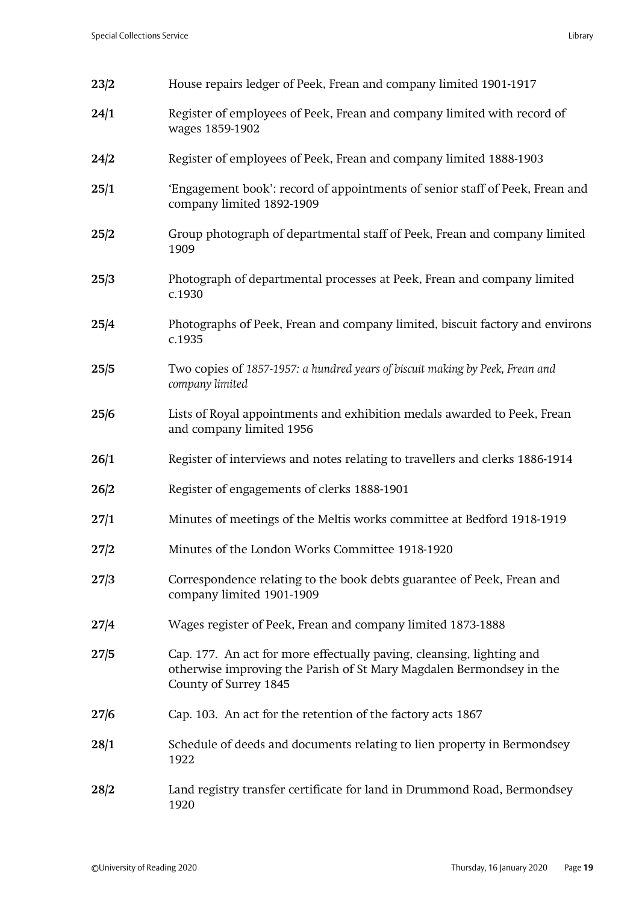| 23/2 | House repairs ledger of Peek, Frean and company limited 1901-1917                                                                                                      |
|------|------------------------------------------------------------------------------------------------------------------------------------------------------------------------|
| 24/1 | Register of employees of Peek, Frean and company limited with record of<br>wages 1859-1902                                                                             |
| 24/2 | Register of employees of Peek, Frean and company limited 1888-1903                                                                                                     |
| 25/1 | 'Engagement book': record of appointments of senior staff of Peek, Frean and<br>company limited 1892-1909                                                              |
| 25/2 | Group photograph of departmental staff of Peek, Frean and company limited<br>1909                                                                                      |
| 25/3 | Photograph of departmental processes at Peek, Frean and company limited<br>c.1930                                                                                      |
| 25/4 | Photographs of Peek, Frean and company limited, biscuit factory and environs<br>c.1935                                                                                 |
| 25/5 | Two copies of 1857-1957: a hundred years of biscuit making by Peek, Frean and<br>company limited                                                                       |
| 25/6 | Lists of Royal appointments and exhibition medals awarded to Peek, Frean<br>and company limited 1956                                                                   |
| 26/1 | Register of interviews and notes relating to travellers and clerks 1886-1914                                                                                           |
| 26/2 | Register of engagements of clerks 1888-1901                                                                                                                            |
| 27/1 | Minutes of meetings of the Meltis works committee at Bedford 1918-1919                                                                                                 |
| 27/2 | Minutes of the London Works Committee 1918-1920                                                                                                                        |
| 27/3 | Correspondence relating to the book debts guarantee of Peek, Frean and<br>company limited 1901-1909                                                                    |
| 27/4 | Wages register of Peek, Frean and company limited 1873-1888                                                                                                            |
| 27/5 | Cap. 177. An act for more effectually paving, cleansing, lighting and<br>otherwise improving the Parish of St Mary Magdalen Bermondsey in the<br>County of Surrey 1845 |
| 27/6 | Cap. 103. An act for the retention of the factory acts 1867                                                                                                            |
| 28/1 | Schedule of deeds and documents relating to lien property in Bermondsey<br>1922                                                                                        |
| 28/2 | Land registry transfer certificate for land in Drummond Road, Bermondsey<br>1920                                                                                       |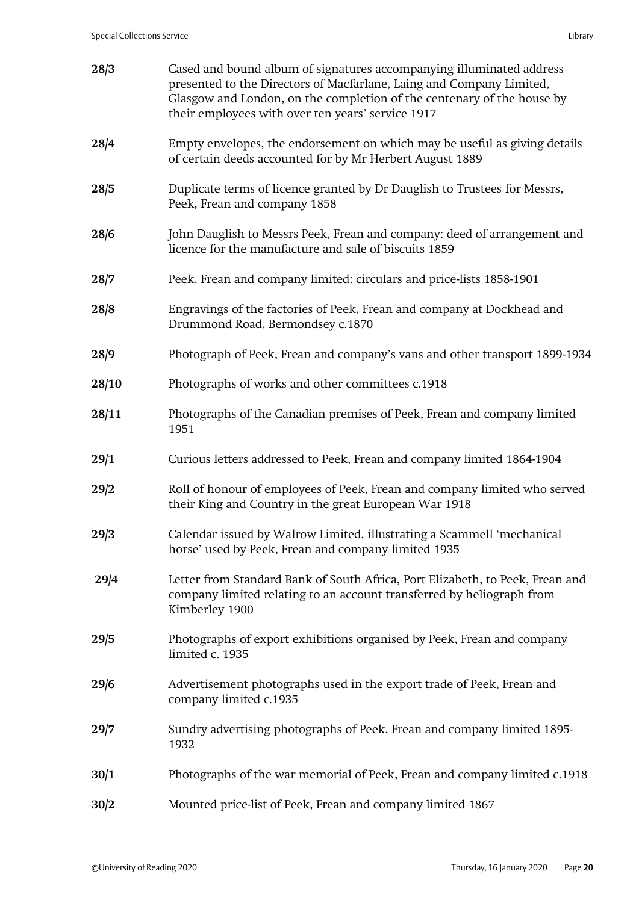| 28/3  | Cased and bound album of signatures accompanying illuminated address<br>presented to the Directors of Macfarlane, Laing and Company Limited,<br>Glasgow and London, on the completion of the centenary of the house by<br>their employees with over ten years' service 1917 |
|-------|-----------------------------------------------------------------------------------------------------------------------------------------------------------------------------------------------------------------------------------------------------------------------------|
| 28/4  | Empty envelopes, the endorsement on which may be useful as giving details<br>of certain deeds accounted for by Mr Herbert August 1889                                                                                                                                       |
| 28/5  | Duplicate terms of licence granted by Dr Dauglish to Trustees for Messrs,<br>Peek, Frean and company 1858                                                                                                                                                                   |
| 28/6  | John Dauglish to Messrs Peek, Frean and company: deed of arrangement and<br>licence for the manufacture and sale of biscuits 1859                                                                                                                                           |
| 28/7  | Peek, Frean and company limited: circulars and price-lists 1858-1901                                                                                                                                                                                                        |
| 28/8  | Engravings of the factories of Peek, Frean and company at Dockhead and<br>Drummond Road, Bermondsey c.1870                                                                                                                                                                  |
| 28/9  | Photograph of Peek, Frean and company's vans and other transport 1899-1934                                                                                                                                                                                                  |
| 28/10 | Photographs of works and other committees c.1918                                                                                                                                                                                                                            |
| 28/11 | Photographs of the Canadian premises of Peek, Frean and company limited<br>1951                                                                                                                                                                                             |
| 29/1  | Curious letters addressed to Peek, Frean and company limited 1864-1904                                                                                                                                                                                                      |
| 29/2  | Roll of honour of employees of Peek, Frean and company limited who served<br>their King and Country in the great European War 1918                                                                                                                                          |
| 29/3  | Calendar issued by Walrow Limited, illustrating a Scammell 'mechanical<br>horse' used by Peek, Frean and company limited 1935                                                                                                                                               |
| 29/4  | Letter from Standard Bank of South Africa, Port Elizabeth, to Peek, Frean and<br>company limited relating to an account transferred by heliograph from<br>Kimberley 1900                                                                                                    |
| 29/5  | Photographs of export exhibitions organised by Peek, Frean and company<br>limited c. 1935                                                                                                                                                                                   |
| 29/6  | Advertisement photographs used in the export trade of Peek, Frean and<br>company limited c.1935                                                                                                                                                                             |
| 29/7  | Sundry advertising photographs of Peek, Frean and company limited 1895-<br>1932                                                                                                                                                                                             |
| 30/1  | Photographs of the war memorial of Peek, Frean and company limited c.1918                                                                                                                                                                                                   |
| 30/2  | Mounted price-list of Peek, Frean and company limited 1867                                                                                                                                                                                                                  |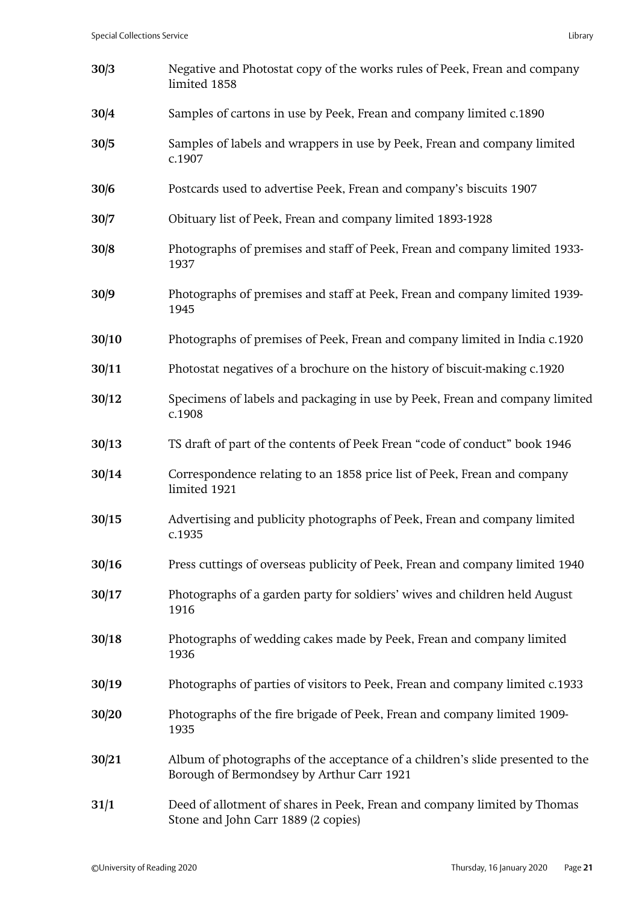| 30/3  | Negative and Photostat copy of the works rules of Peek, Frean and company<br>limited 1858                                  |
|-------|----------------------------------------------------------------------------------------------------------------------------|
| 30/4  | Samples of cartons in use by Peek, Frean and company limited c.1890                                                        |
| 30/5  | Samples of labels and wrappers in use by Peek, Frean and company limited<br>c.1907                                         |
| 30/6  | Postcards used to advertise Peek, Frean and company's biscuits 1907                                                        |
| 30/7  | Obituary list of Peek, Frean and company limited 1893-1928                                                                 |
| 30/8  | Photographs of premises and staff of Peek, Frean and company limited 1933-<br>1937                                         |
| 30/9  | Photographs of premises and staff at Peek, Frean and company limited 1939-<br>1945                                         |
| 30/10 | Photographs of premises of Peek, Frean and company limited in India c.1920                                                 |
| 30/11 | Photostat negatives of a brochure on the history of biscuit-making c.1920                                                  |
| 30/12 | Specimens of labels and packaging in use by Peek, Frean and company limited<br>c.1908                                      |
| 30/13 | TS draft of part of the contents of Peek Frean "code of conduct" book 1946                                                 |
| 30/14 | Correspondence relating to an 1858 price list of Peek, Frean and company<br>limited 1921                                   |
| 30/15 | Advertising and publicity photographs of Peek, Frean and company limited<br>c.1935                                         |
| 30/16 | Press cuttings of overseas publicity of Peek, Frean and company limited 1940                                               |
| 30/17 | Photographs of a garden party for soldiers' wives and children held August<br>1916                                         |
| 30/18 | Photographs of wedding cakes made by Peek, Frean and company limited<br>1936                                               |
| 30/19 | Photographs of parties of visitors to Peek, Frean and company limited c.1933                                               |
| 30/20 | Photographs of the fire brigade of Peek, Frean and company limited 1909-<br>1935                                           |
| 30/21 | Album of photographs of the acceptance of a children's slide presented to the<br>Borough of Bermondsey by Arthur Carr 1921 |
| 31/1  | Deed of allotment of shares in Peek, Frean and company limited by Thomas<br>Stone and John Carr 1889 (2 copies)            |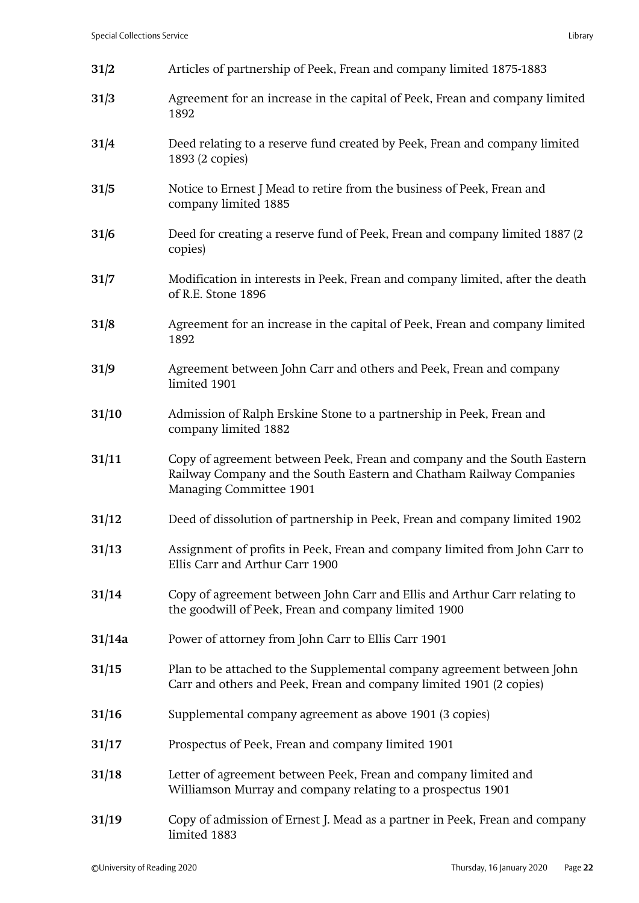| 31/2   | Articles of partnership of Peek, Frean and company limited 1875-1883                                                                                                      |
|--------|---------------------------------------------------------------------------------------------------------------------------------------------------------------------------|
| 31/3   | Agreement for an increase in the capital of Peek, Frean and company limited<br>1892                                                                                       |
| 31/4   | Deed relating to a reserve fund created by Peek, Frean and company limited<br>1893 (2 copies)                                                                             |
| 31/5   | Notice to Ernest J Mead to retire from the business of Peek, Frean and<br>company limited 1885                                                                            |
| 31/6   | Deed for creating a reserve fund of Peek, Frean and company limited 1887 (2)<br>copies)                                                                                   |
| 31/7   | Modification in interests in Peek, Frean and company limited, after the death<br>of R.E. Stone 1896                                                                       |
| 31/8   | Agreement for an increase in the capital of Peek, Frean and company limited<br>1892                                                                                       |
| 31/9   | Agreement between John Carr and others and Peek, Frean and company<br>limited 1901                                                                                        |
| 31/10  | Admission of Ralph Erskine Stone to a partnership in Peek, Frean and<br>company limited 1882                                                                              |
| 31/11  | Copy of agreement between Peek, Frean and company and the South Eastern<br>Railway Company and the South Eastern and Chatham Railway Companies<br>Managing Committee 1901 |
| 31/12  | Deed of dissolution of partnership in Peek, Frean and company limited 1902                                                                                                |
| 31/13  | Assignment of profits in Peek, Frean and company limited from John Carr to<br>Ellis Carr and Arthur Carr 1900                                                             |
| 31/14  | Copy of agreement between John Carr and Ellis and Arthur Carr relating to<br>the goodwill of Peek, Frean and company limited 1900                                         |
| 31/14a | Power of attorney from John Carr to Ellis Carr 1901                                                                                                                       |
| 31/15  | Plan to be attached to the Supplemental company agreement between John<br>Carr and others and Peek, Frean and company limited 1901 (2 copies)                             |
| 31/16  | Supplemental company agreement as above 1901 (3 copies)                                                                                                                   |
| 31/17  | Prospectus of Peek, Frean and company limited 1901                                                                                                                        |
| 31/18  | Letter of agreement between Peek, Frean and company limited and<br>Williamson Murray and company relating to a prospectus 1901                                            |
| 31/19  | Copy of admission of Ernest J. Mead as a partner in Peek, Frean and company                                                                                               |

limited 1883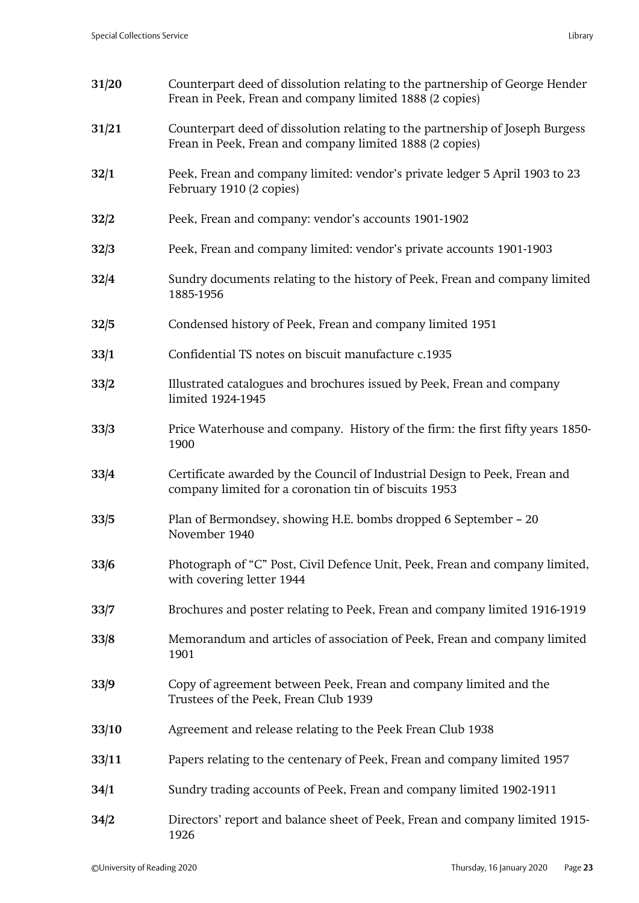| 31/20 | Counterpart deed of dissolution relating to the partnership of George Hender<br>Frean in Peek, Frean and company limited 1888 (2 copies)  |
|-------|-------------------------------------------------------------------------------------------------------------------------------------------|
| 31/21 | Counterpart deed of dissolution relating to the partnership of Joseph Burgess<br>Frean in Peek, Frean and company limited 1888 (2 copies) |
| 32/1  | Peek, Frean and company limited: vendor's private ledger 5 April 1903 to 23<br>February 1910 (2 copies)                                   |
| 32/2  | Peek, Frean and company: vendor's accounts 1901-1902                                                                                      |
| 32/3  | Peek, Frean and company limited: vendor's private accounts 1901-1903                                                                      |
| 32/4  | Sundry documents relating to the history of Peek, Frean and company limited<br>1885-1956                                                  |
| 32/5  | Condensed history of Peek, Frean and company limited 1951                                                                                 |
| 33/1  | Confidential TS notes on biscuit manufacture c.1935                                                                                       |
| 33/2  | Illustrated catalogues and brochures issued by Peek, Frean and company<br>limited 1924-1945                                               |
| 33/3  | Price Waterhouse and company. History of the firm: the first fifty years 1850-<br>1900                                                    |
| 33/4  | Certificate awarded by the Council of Industrial Design to Peek, Frean and<br>company limited for a coronation tin of biscuits 1953       |
| 33/5  | Plan of Bermondsey, showing H.E. bombs dropped 6 September – 20<br>November 1940                                                          |
| 33/6  | Photograph of "C" Post, Civil Defence Unit, Peek, Frean and company limited,<br>with covering letter 1944                                 |
| 33/7  | Brochures and poster relating to Peek, Frean and company limited 1916-1919                                                                |
| 33/8  | Memorandum and articles of association of Peek, Frean and company limited<br>1901                                                         |
| 33/9  | Copy of agreement between Peek, Frean and company limited and the<br>Trustees of the Peek, Frean Club 1939                                |
| 33/10 | Agreement and release relating to the Peek Frean Club 1938                                                                                |
| 33/11 | Papers relating to the centenary of Peek, Frean and company limited 1957                                                                  |
| 34/1  | Sundry trading accounts of Peek, Frean and company limited 1902-1911                                                                      |
| 34/2  | Directors' report and balance sheet of Peek, Frean and company limited 1915-<br>1926                                                      |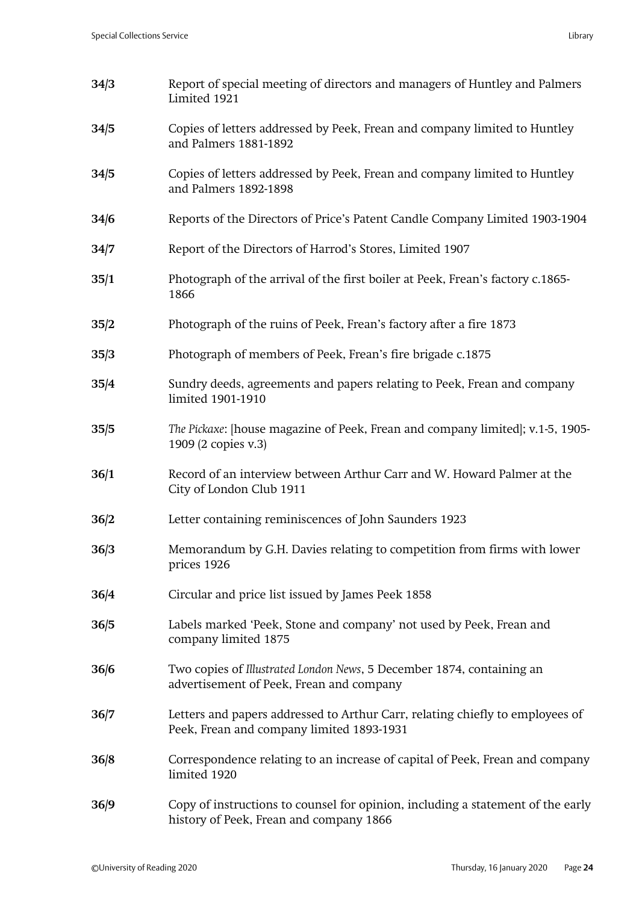| 34/3 | Report of special meeting of directors and managers of Huntley and Palmers<br>Limited 1921                                 |
|------|----------------------------------------------------------------------------------------------------------------------------|
| 34/5 | Copies of letters addressed by Peek, Frean and company limited to Huntley<br>and Palmers 1881-1892                         |
| 34/5 | Copies of letters addressed by Peek, Frean and company limited to Huntley<br>and Palmers 1892-1898                         |
| 34/6 | Reports of the Directors of Price's Patent Candle Company Limited 1903-1904                                                |
| 34/7 | Report of the Directors of Harrod's Stores, Limited 1907                                                                   |
| 35/1 | Photograph of the arrival of the first boiler at Peek, Frean's factory c.1865-<br>1866                                     |
| 35/2 | Photograph of the ruins of Peek, Frean's factory after a fire 1873                                                         |
| 35/3 | Photograph of members of Peek, Frean's fire brigade c.1875                                                                 |
| 35/4 | Sundry deeds, agreements and papers relating to Peek, Frean and company<br>limited 1901-1910                               |
| 35/5 | The Pickaxe: [house magazine of Peek, Frean and company limited]; v.1-5, 1905-<br>1909 (2 copies v.3)                      |
| 36/1 | Record of an interview between Arthur Carr and W. Howard Palmer at the<br>City of London Club 1911                         |
| 36/2 | Letter containing reminiscences of John Saunders 1923                                                                      |
| 36/3 | Memorandum by G.H. Davies relating to competition from firms with lower<br>prices 1926                                     |
| 36/4 | Circular and price list issued by James Peek 1858                                                                          |
| 36/5 | Labels marked 'Peek, Stone and company' not used by Peek, Frean and<br>company limited 1875                                |
| 36/6 | Two copies of Illustrated London News, 5 December 1874, containing an<br>advertisement of Peek, Frean and company          |
| 36/7 | Letters and papers addressed to Arthur Carr, relating chiefly to employees of<br>Peek, Frean and company limited 1893-1931 |
| 36/8 | Correspondence relating to an increase of capital of Peek, Frean and company<br>limited 1920                               |
| 36/9 | Copy of instructions to counsel for opinion, including a statement of the early<br>history of Peek, Frean and company 1866 |